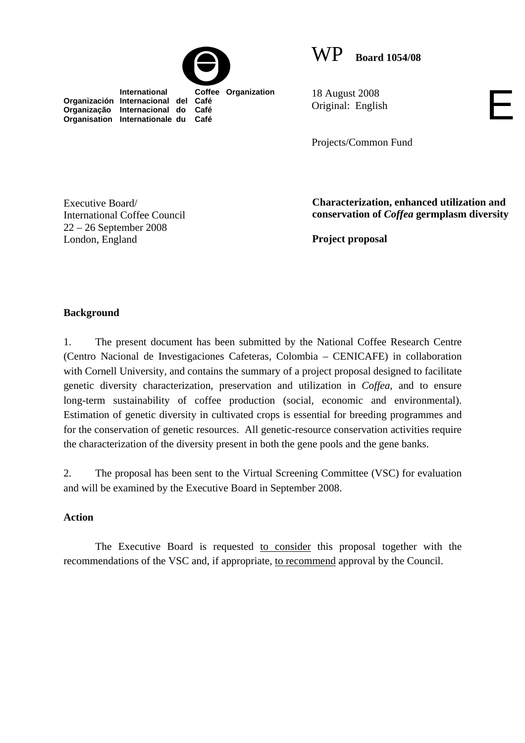

WP **Board 1054/08**

**International Coffee Organization Organización Internacional del Café Organização Internacional do Café Organisation Internationale du Café**

18 August 2008 Original: English

Projects/Common Fund

Executive Board/ International Coffee Council 22 – 26 September 2008 London, England

**Characterization, enhanced utilization and conservation of** *Coffea* **germplasm diversity** 

E

**Project proposal** 

# **Background**

1. The present document has been submitted by the National Coffee Research Centre (Centro Nacional de Investigaciones Cafeteras, Colombia – CENICAFE) in collaboration with Cornell University, and contains the summary of a project proposal designed to facilitate genetic diversity characterization, preservation and utilization in *Coffea*, and to ensure long-term sustainability of coffee production (social, economic and environmental). Estimation of genetic diversity in cultivated crops is essential for breeding programmes and for the conservation of genetic resources. All genetic-resource conservation activities require the characterization of the diversity present in both the gene pools and the gene banks.

2. The proposal has been sent to the Virtual Screening Committee (VSC) for evaluation and will be examined by the Executive Board in September 2008.

### **Action**

The Executive Board is requested to consider this proposal together with the recommendations of the VSC and, if appropriate, to recommend approval by the Council.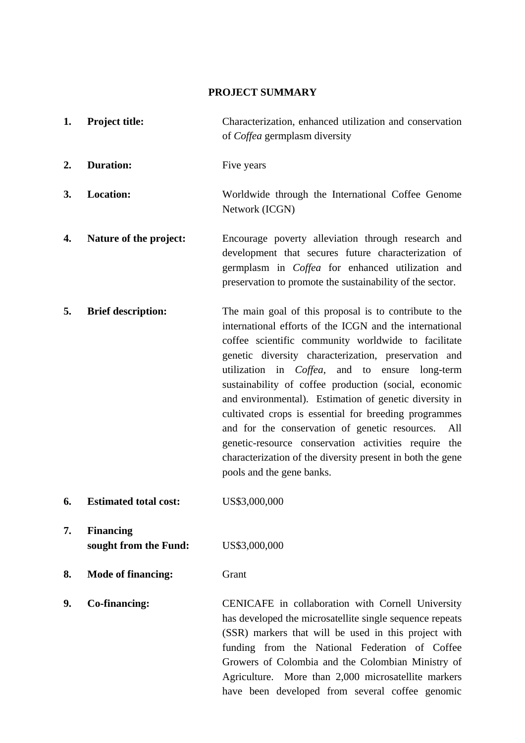#### **PROJECT SUMMARY**

- **1. Project title:** Characterization, enhanced utilization and conservation of *Coffea* germplasm diversity
- **2.** Duration: Five years
- **3. Location:** Worldwide through the International Coffee Genome Network (ICGN)
- **4.** Nature of the project: Encourage poverty alleviation through research and development that secures future characterization of germplasm in *Coffea* for enhanced utilization and preservation to promote the sustainability of the sector.
- **5.** Brief description: The main goal of this proposal is to contribute to the international efforts of the ICGN and the international coffee scientific community worldwide to facilitate genetic diversity characterization, preservation and utilization in *Coffea*, and to ensure long-term sustainability of coffee production (social, economic and environmental). Estimation of genetic diversity in cultivated crops is essential for breeding programmes and for the conservation of genetic resources. All genetic-resource conservation activities require the characterization of the diversity present in both the gene pools and the gene banks.
- **6. Estimated total cost:** US\$3,000,000

**7. Financing sought from the Fund:** US\$3,000,000

**8. Mode of financing:** Grant

**9.** Co-financing: CENICAFE in collaboration with Cornell University has developed the microsatellite single sequence repeats (SSR) markers that will be used in this project with funding from the National Federation of Coffee Growers of Colombia and the Colombian Ministry of Agriculture. More than 2,000 microsatellite markers have been developed from several coffee genomic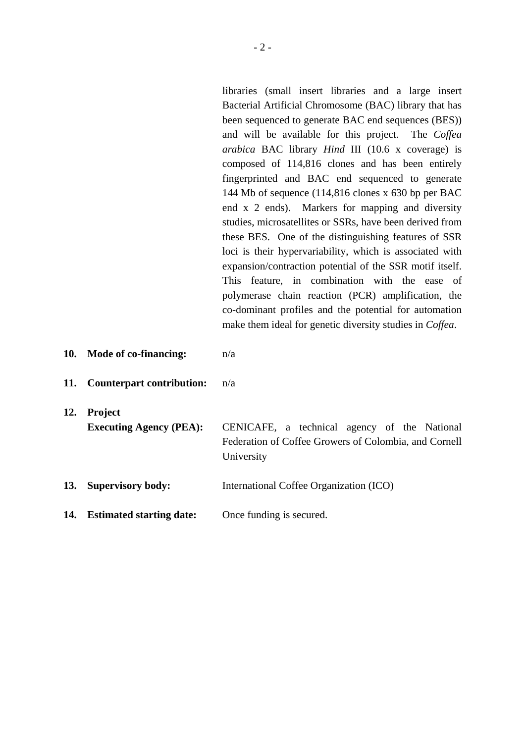libraries (small insert libraries and a large insert Bacterial Artificial Chromosome (BAC) library that has been sequenced to generate BAC end sequences (BES)) and will be available for this project. The *Coffea arabica* BAC library *Hind* III (10.6 x coverage) is composed of 114,816 clones and has been entirely fingerprinted and BAC end sequenced to generate 144 Mb of sequence (114,816 clones x 630 bp per BAC end x 2 ends). Markers for mapping and diversity studies, microsatellites or SSRs, have been derived from these BES.One of the distinguishing features of SSR loci is their hypervariability, which is associated with expansion/contraction potential of the SSR motif itself. This feature, in combination with the ease of polymerase chain reaction (PCR) amplification, the co-dominant profiles and the potential for automation make them ideal for genetic diversity studies in *Coffea*.

- **10. Mode of co-financing:** n/a
- **11. Counterpart contribution:** n/a
- **12. Project**

**Executing Agency (PEA):** CENICAFE, a technical agency of the National Federation of Coffee Growers of Colombia, and Cornell University

- **13. Supervisory body:** International Coffee Organization (ICO)
- 14. **Estimated starting date:** Once funding is secured.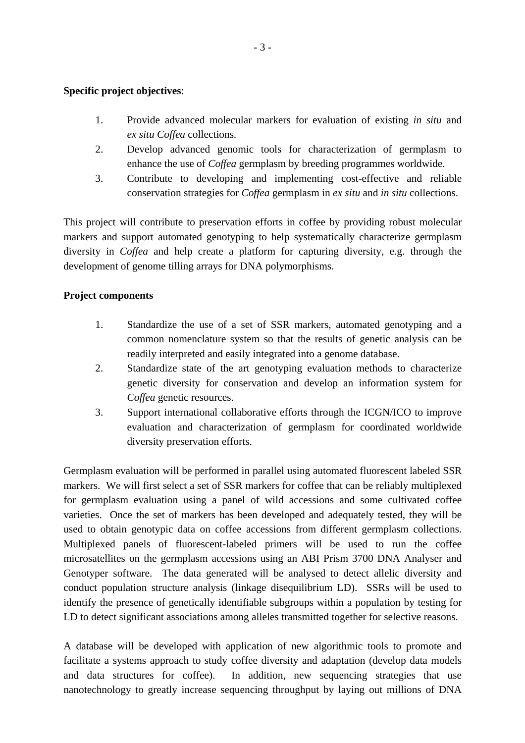# **Specific project objectives**:

- 1. Provide advanced molecular markers for evaluation of existing *in situ* and *ex situ Coffea* collections.
- 2. Develop advanced genomic tools for characterization of germplasm to enhance the use of *Coffea* germplasm by breeding programmes worldwide.
- 3. Contribute to developing and implementing cost-effective and reliable conservation strategies for *Coffea* germplasm in *ex situ* and *in situ* collections.

This project will contribute to preservation efforts in coffee by providing robust molecular markers and support automated genotyping to help systematically characterize germplasm diversity in *Coffea* and help create a platform for capturing diversity, e.g. through the development of genome tilling arrays for DNA polymorphisms.

# **Project components**

- 1. Standardize the use of a set of SSR markers, automated genotyping and a common nomenclature system so that the results of genetic analysis can be readily interpreted and easily integrated into a genome database.
- 2. Standardize state of the art genotyping evaluation methods to characterize genetic diversity for conservation and develop an information system for *Coffea* genetic resources.
- 3. Support international collaborative efforts through the ICGN/ICO to improve evaluation and characterization of germplasm for coordinated worldwide diversity preservation efforts.

Germplasm evaluation will be performed in parallel using automated fluorescent labeled SSR markers. We will first select a set of SSR markers for coffee that can be reliably multiplexed for germplasm evaluation using a panel of wild accessions and some cultivated coffee varieties. Once the set of markers has been developed and adequately tested, they will be used to obtain genotypic data on coffee accessions from different germplasm collections. Multiplexed panels of fluorescent-labeled primers will be used to run the coffee microsatellites on the germplasm accessions using an ABI Prism 3700 DNA Analyser and Genotyper software. The data generated will be analysed to detect allelic diversity and conduct population structure analysis (linkage disequilibrium LD). SSRs will be used to identify the presence of genetically identifiable subgroups within a population by testing for LD to detect significant associations among alleles transmitted together for selective reasons.

A database will be developed with application of new algorithmic tools to promote and facilitate a systems approach to study coffee diversity and adaptation (develop data models and data structures for coffee). In addition, new sequencing strategies that use nanotechnology to greatly increase sequencing throughput by laying out millions of DNA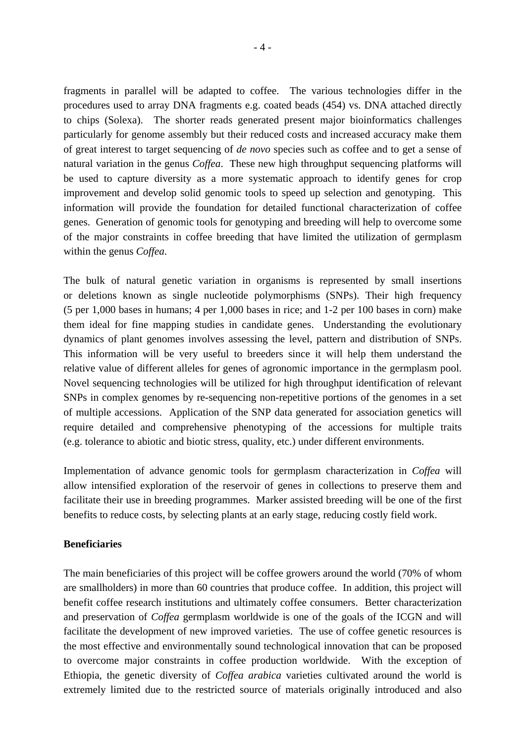fragments in parallel will be adapted to coffee. The various technologies differ in the procedures used to array DNA fragments e.g. coated beads (454) vs. DNA attached directly to chips (Solexa). The shorter reads generated present major bioinformatics challenges particularly for genome assembly but their reduced costs and increased accuracy make them of great interest to target sequencing of *de novo* species such as coffee and to get a sense of natural variation in the genus *Coffea*. These new high throughput sequencing platforms will be used to capture diversity as a more systematic approach to identify genes for crop improvement and develop solid genomic tools to speed up selection and genotyping. This information will provide the foundation for detailed functional characterization of coffee genes. Generation of genomic tools for genotyping and breeding will help to overcome some of the major constraints in coffee breeding that have limited the utilization of germplasm within the genus *Coffea*.

The bulk of natural genetic variation in organisms is represented by small insertions or deletions known as single nucleotide polymorphisms (SNPs). Their high frequency (5 per 1,000 bases in humans; 4 per 1,000 bases in rice; and 1-2 per 100 bases in corn) make them ideal for fine mapping studies in candidate genes. Understanding the evolutionary dynamics of plant genomes involves assessing the level, pattern and distribution of SNPs. This information will be very useful to breeders since it will help them understand the relative value of different alleles for genes of agronomic importance in the germplasm pool. Novel sequencing technologies will be utilized for high throughput identification of relevant SNPs in complex genomes by re-sequencing non-repetitive portions of the genomes in a set of multiple accessions. Application of the SNP data generated for association genetics will require detailed and comprehensive phenotyping of the accessions for multiple traits (e.g. tolerance to abiotic and biotic stress, quality, etc.) under different environments.

Implementation of advance genomic tools for germplasm characterization in *Coffea* will allow intensified exploration of the reservoir of genes in collections to preserve them and facilitate their use in breeding programmes. Marker assisted breeding will be one of the first benefits to reduce costs, by selecting plants at an early stage, reducing costly field work.

### **Beneficiaries**

The main beneficiaries of this project will be coffee growers around the world (70% of whom are smallholders) in more than 60 countries that produce coffee. In addition, this project will benefit coffee research institutions and ultimately coffee consumers. Better characterization and preservation of *Coffea* germplasm worldwide is one of the goals of the ICGN and will facilitate the development of new improved varieties. The use of coffee genetic resources is the most effective and environmentally sound technological innovation that can be proposed to overcome major constraints in coffee production worldwide. With the exception of Ethiopia, the genetic diversity of *Coffea arabica* varieties cultivated around the world is extremely limited due to the restricted source of materials originally introduced and also